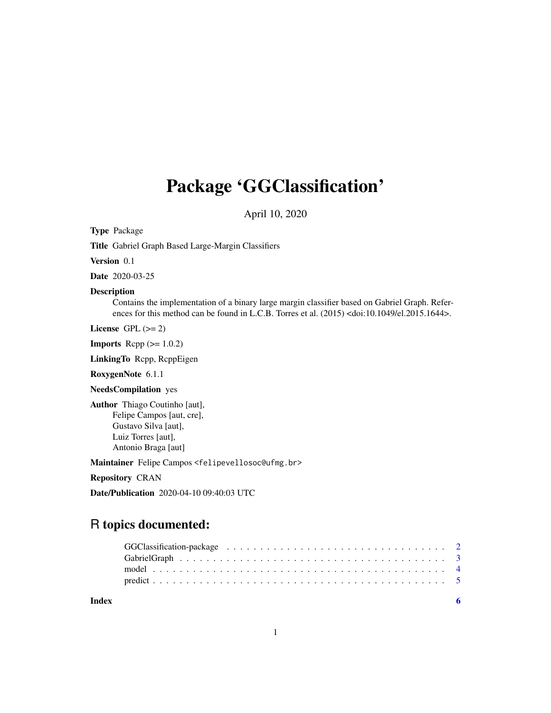## Package 'GGClassification'

April 10, 2020

Type Package

Title Gabriel Graph Based Large-Margin Classifiers

Version 0.1

Date 2020-03-25

#### Description

Contains the implementation of a binary large margin classifier based on Gabriel Graph. References for this method can be found in L.C.B. Torres et al. (2015) <doi:10.1049/el.2015.1644>.

License GPL  $(>= 2)$ 

**Imports** Rcpp  $(>= 1.0.2)$ 

LinkingTo Rcpp, RcppEigen

RoxygenNote 6.1.1

NeedsCompilation yes

Author Thiago Coutinho [aut], Felipe Campos [aut, cre], Gustavo Silva [aut], Luiz Torres [aut], Antonio Braga [aut]

Maintainer Felipe Campos <felipevellosoc@ufmg.br>

Repository CRAN

Date/Publication 2020-04-10 09:40:03 UTC

### R topics documented:

| Index |  |  |  |  |  |  |  |  |  |  |  |  |  |  |  |  |  |
|-------|--|--|--|--|--|--|--|--|--|--|--|--|--|--|--|--|--|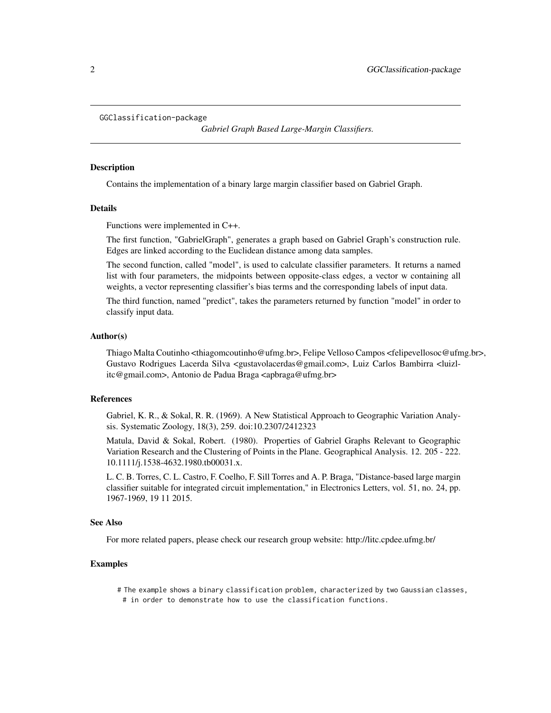```
GGClassification-package
```
*Gabriel Graph Based Large-Margin Classifiers.*

#### **Description**

Contains the implementation of a binary large margin classifier based on Gabriel Graph.

#### Details

Functions were implemented in C++.

The first function, "GabrielGraph", generates a graph based on Gabriel Graph's construction rule. Edges are linked according to the Euclidean distance among data samples.

The second function, called "model", is used to calculate classifier parameters. It returns a named list with four parameters, the midpoints between opposite-class edges, a vector w containing all weights, a vector representing classifier's bias terms and the corresponding labels of input data.

The third function, named "predict", takes the parameters returned by function "model" in order to classify input data.

#### Author(s)

Thiago Malta Coutinho <thiagomcoutinho@ufmg.br>, Felipe Velloso Campos <felipevellosoc@ufmg.br>, Gustavo Rodrigues Lacerda Silva <gustavolacerdas@gmail.com>, Luiz Carlos Bambirra <luizlitc@gmail.com>, Antonio de Padua Braga <apbraga@ufmg.br>

#### References

Gabriel, K. R., & Sokal, R. R. (1969). A New Statistical Approach to Geographic Variation Analysis. Systematic Zoology, 18(3), 259. doi:10.2307/2412323

Matula, David & Sokal, Robert. (1980). Properties of Gabriel Graphs Relevant to Geographic Variation Research and the Clustering of Points in the Plane. Geographical Analysis. 12. 205 - 222. 10.1111/j.1538-4632.1980.tb00031.x.

L. C. B. Torres, C. L. Castro, F. Coelho, F. Sill Torres and A. P. Braga, "Distance-based large margin classifier suitable for integrated circuit implementation," in Electronics Letters, vol. 51, no. 24, pp. 1967-1969, 19 11 2015.

#### See Also

For more related papers, please check our research group website: http://litc.cpdee.ufmg.br/

#### Examples

- # The example shows a binary classification problem, characterized by two Gaussian classes,
- # in order to demonstrate how to use the classification functions.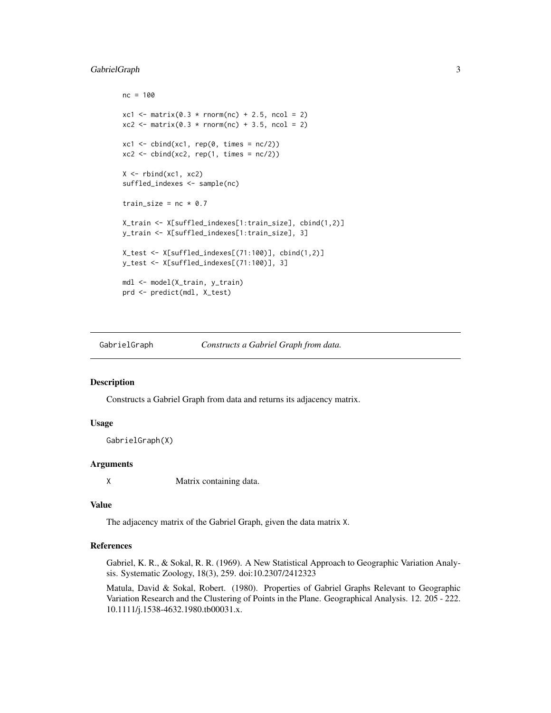#### <span id="page-2-0"></span>GabrielGraph 3

```
nc = 100
xcl \leftarrow matrix(0.3 * rnorm(nc) + 2.5, ncol = 2)xc2 \le matrix(0.3 * rnorm(nc) + 3.5, ncol = 2)
xc1 \leftarrow \text{cbind}(xc1, rep(0, times = nc/2))xc2 \le cbind(xc2, rep(1, times = nc/2))
X \leftarrow \text{rbind}(xc1, xc2)suffled_indexes <- sample(nc)
train_size = nc * 0.7X_train <- X[suffled_indexes[1:train_size], cbind(1,2)]
y_train <- X[suffled_indexes[1:train_size], 3]
X_test <- X[suffled_indexes[(71:100)], cbind(1,2)]
y_test <- X[suffled_indexes[(71:100)], 3]
mdl <- model(X_train, y_train)
prd <- predict(mdl, X_test)
```
GabrielGraph *Constructs a Gabriel Graph from data.*

#### Description

Constructs a Gabriel Graph from data and returns its adjacency matrix.

#### Usage

GabrielGraph(X)

#### Arguments

X Matrix containing data.

#### Value

The adjacency matrix of the Gabriel Graph, given the data matrix X.

#### References

Gabriel, K. R., & Sokal, R. R. (1969). A New Statistical Approach to Geographic Variation Analysis. Systematic Zoology, 18(3), 259. doi:10.2307/2412323

Matula, David & Sokal, Robert. (1980). Properties of Gabriel Graphs Relevant to Geographic Variation Research and the Clustering of Points in the Plane. Geographical Analysis. 12. 205 - 222. 10.1111/j.1538-4632.1980.tb00031.x.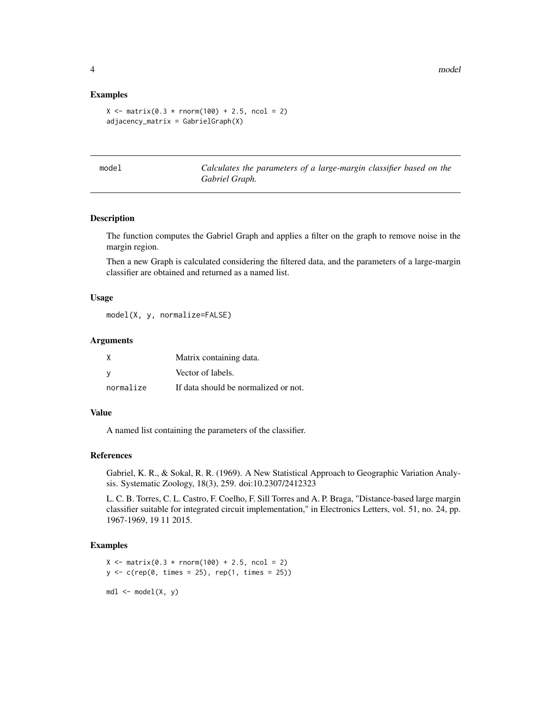#### Examples

```
X \le - matrix(0.3 * rnorm(100) + 2.5, ncol = 2)
adjacency_matrix = GabrielGraph(X)
```
model *Calculates the parameters of a large-margin classifier based on the Gabriel Graph.*

#### Description

The function computes the Gabriel Graph and applies a filter on the graph to remove noise in the margin region.

Then a new Graph is calculated considering the filtered data, and the parameters of a large-margin classifier are obtained and returned as a named list.

#### Usage

model(X, y, normalize=FALSE)

#### Arguments

| X         | Matrix containing data.              |
|-----------|--------------------------------------|
| V         | Vector of labels.                    |
| normalize | If data should be normalized or not. |

#### Value

A named list containing the parameters of the classifier.

#### References

Gabriel, K. R., & Sokal, R. R. (1969). A New Statistical Approach to Geographic Variation Analysis. Systematic Zoology, 18(3), 259. doi:10.2307/2412323

L. C. B. Torres, C. L. Castro, F. Coelho, F. Sill Torres and A. P. Braga, "Distance-based large margin classifier suitable for integrated circuit implementation," in Electronics Letters, vol. 51, no. 24, pp. 1967-1969, 19 11 2015.

#### Examples

```
X \le - matrix(0.3 * rnorm(100) + 2.5, ncol = 2)
y \leq c (rep(0, times = 25), rep(1, times = 25))
mdl \le model(X, y)
```
<span id="page-3-0"></span>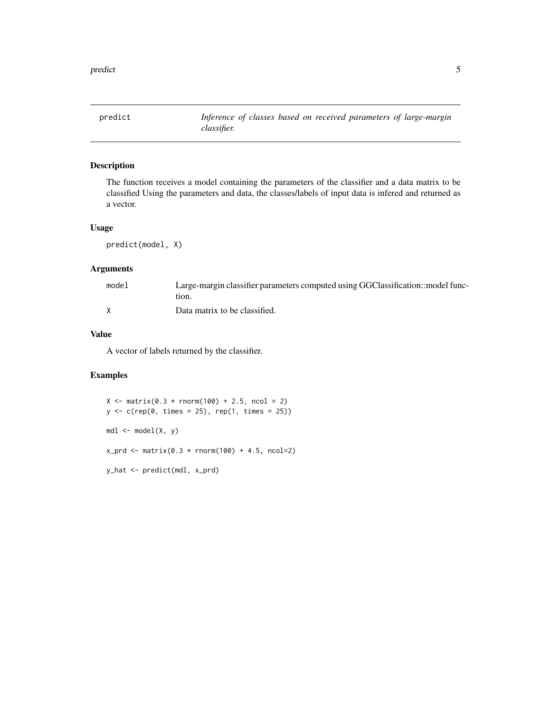<span id="page-4-0"></span>

#### Description

The function receives a model containing the parameters of the classifier and a data matrix to be classified Using the parameters and data, the classes/labels of input data is infered and returned as a vector.

#### Usage

predict(model, X)

#### Arguments

| model | Large-margin classifier parameters computed using GGClassification::model func- |
|-------|---------------------------------------------------------------------------------|
|       | tion.                                                                           |
|       | Data matrix to be classified.                                                   |

#### Value

A vector of labels returned by the classifier.

#### Examples

```
X \le - matrix(0.3 * rnorm(100) + 2.5, ncol = 2)
y <- c(rep(0, times = 25), rep(1, times = 25))
mdl < - model(X, y)
x_{p}rd <- matrix(0.3 * rnorm(100) + 4.5, ncol=2)
y_hat <- predict(mdl, x_prd)
```